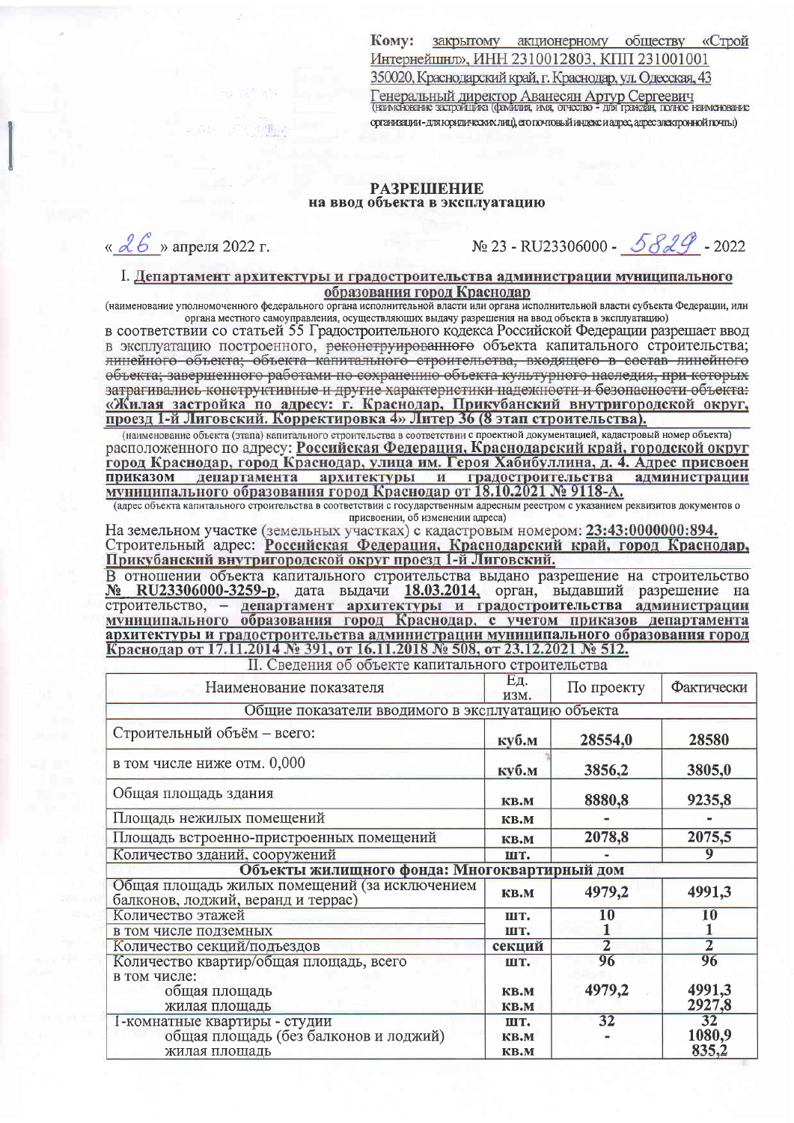**KOMV:** закрытому акционерному обществу «Строй Интернейшнд», ИНН 2310012803, КПП 231001001 350020, Краснодарский край, г. Краснодар, ул. Одесская, 43 Генеральный директор Аванесян Артур Сергеевич<br>(намеювание запройцика (фамили, имя, отчество - для пракдан, полное наименование организации - для юридических лиц), его почтовый индекс и адрес, адрес электронной почты)

## **РАЗРЕШЕНИЕ** на ввод объекта в эксплуатацию

«  $d6$ » апреля 2022 г.

№ 23 - RU23306000 - 5829 - 2022

I. Департамент архитектуры и градостроительства администрации муниципального образования город Краснодар

(наименование уполномоченного федерального органа исполнительной власти или органа исполнительной власти субъекта Федерации, или органа местного самоуправления, осуществляющих выдачу разрешения на ввод объекта в эксплуатацию)

в соответствии со статьей 55 Градостроительного кодекса Российской Федерации разрешает ввод в эксплуатацию построенного, реконструированного объекта капитального строительства; линейного объекта; объекта капитального строительства, входящего в состав линейного объекта; завершенного работами по сохранению объекта культурного наследия, при которых затрагивались конструктивные и другие характеристики надежности и безопасности объекта:<br>«Жилая застройка по адресу: г. Краснодар, Прикубанский внутригородской округ,<br>проезд 1-й Лиговский. Корректировка 4» Литер 36 (8 этап

(наименование объекта (этапа) капитального строительства в соответствии с проектной документацией, кадастровый номер объекта) расположенного по адресу: Российская Федерация, Краснодарский край, городской округ город Краснодар, город Краснодар, улица им. Героя Хабибуллина, д. 4. Адрес присвоен департамента архитектуры и градостроительства **ПРИКАЗОМ** алминистрации муниципального образования город Краснодар от 18.10.2021 № 9118-А.

(адрес объекта капитального строительства в соответствии с государственным адресным реестром с указанием реквизитов документов о присвоении, об изменении адреса)

На земельном участке (земельных участках) с кадастровым номером: 23:43:0000000:894. Строительный адрес: Российская Федерация, Краснодарский край, город Краснодар, Прикубанский внутригородской округ проезд 1-й Лиговский.

В отношении объекта капитального строительства выдано разрешение на строительство В сибонении совекта капитального строительства выдано разрешение на строительство<br>
№ RU23306000-3259-р, дата выдачи 18.03.2014, орган, выдавший разрешение на<br>
строительство, – департамент архитектуры и градостроительства архитектуры и градостроительства администрации муниципального образования город Краснодар от 17.11.2014 № 391, от 16.11.2018 № 508, от 23.12.2021 № 512.

II. Сведения об объекте капитального строительства

| Наименование показателя                                                             | <b>Ед.</b><br>изм. | По проекту     | Фактически |  |
|-------------------------------------------------------------------------------------|--------------------|----------------|------------|--|
| Общие показатели вводимого в эксплуатацию объекта                                   |                    |                |            |  |
| Строительный объём - всего:                                                         | куб.м              | 28554,0        | 28580      |  |
| в том числе ниже отм. 0,000                                                         | <u>куб.м</u>       | 3856,2         | 3805,0     |  |
| Общая площадь здания                                                                | <b>KB.M</b>        | 8880,8         | 9235,8     |  |
| Площадь нежилых помещений                                                           | <b>KB.M</b>        |                |            |  |
| Площадь встроенно-пристроенных помещений                                            | KB.M               | 2078,8         | 2075,5     |  |
| Количество зданий, сооружений                                                       | шт.                |                |            |  |
| Объекты жилищного фонда: Многоквартирный дом                                        |                    |                |            |  |
| Общая площадь жилых помещений (за исключением<br>балконов, лоджий, веранд и террас) | <b>KB.M</b>        | 4979,2         | 4991,3     |  |
| Количество этажей                                                                   | ШТ.                | $10\,$         | 10         |  |
| в том числе подземных                                                               | ШТ.                |                |            |  |
| Количество секций/подъездов                                                         | секции             | $\overline{2}$ | $\bar{2}$  |  |
| Количество квартир/общая площадь, всего                                             | шт.                | 96             | 96         |  |
| в том числе:                                                                        |                    |                |            |  |
| общая площадь                                                                       | KB.M               | 4979,2         | 4991,3     |  |
| жилая площадь                                                                       | <b>KB.M</b>        |                | 2927,8     |  |
| 1-комнатные квартиры - студии<br>общая площадь (без балконов и лоджий)              | ШТ.                | 32             | 32         |  |
|                                                                                     | KB.M               |                | 1080,9     |  |
| жилая площадь                                                                       | <b>KB.M</b>        |                | 835,2      |  |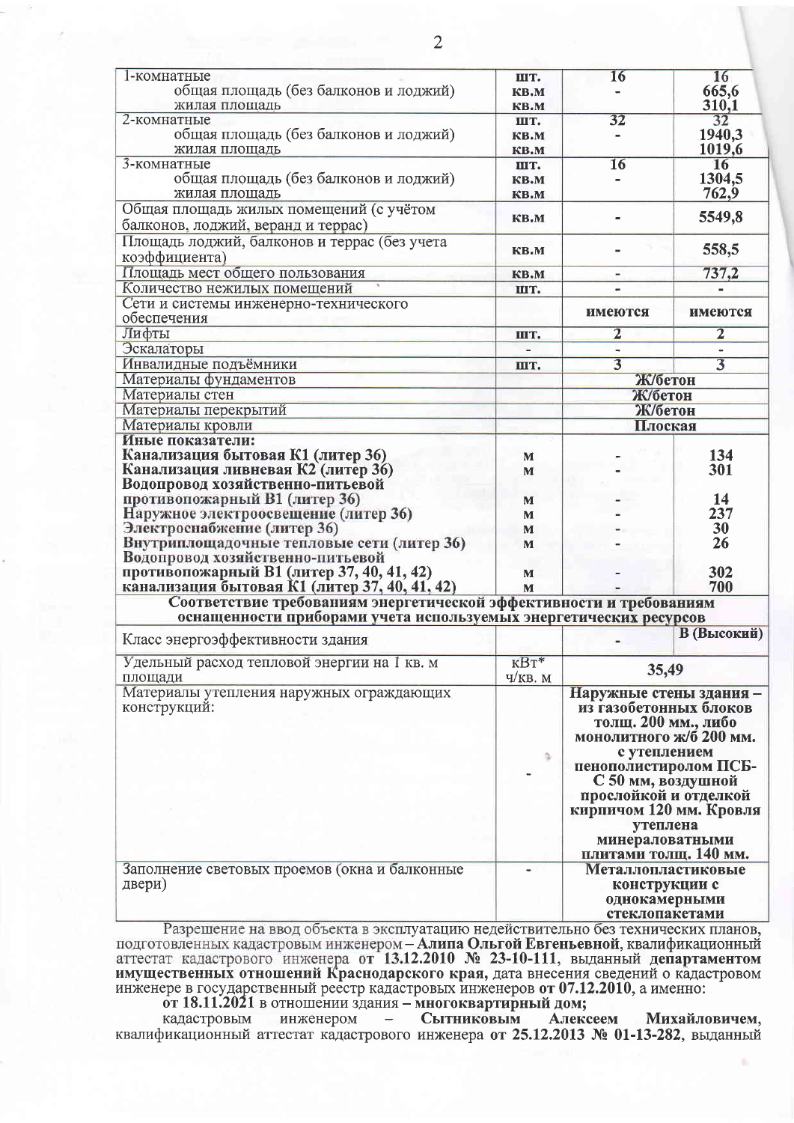| 1-комнатные                                                                    | ШТ.            | 16                                                   | 16             |
|--------------------------------------------------------------------------------|----------------|------------------------------------------------------|----------------|
| общая площадь (без балконов и лоджий)                                          | KB.M           |                                                      | 665,6          |
| жилая площадь                                                                  | KB.M           |                                                      | 310,1          |
| 2-комнатные                                                                    | ШТ.            | 32                                                   | 32             |
| общая площадь (без балконов и лоджий)                                          | KB.M           |                                                      | 1940,3         |
| жилая площадь                                                                  | KB.M           |                                                      | 1019,6         |
| 3-комнатные                                                                    | IIIT.          | 16                                                   | 16             |
| общая площадь (без балконов и лоджий)                                          | KB.M           |                                                      | 1304,5         |
| жилая площадь                                                                  | KB.M           |                                                      | 762,9          |
| Общая площадь жилых помещений (с учётом                                        |                |                                                      |                |
| балконов, лоджий, веранд и террас)                                             | KB.M           |                                                      | 5549,8         |
| Площадь лоджий, балконов и террас (без учета                                   |                |                                                      |                |
| коэффициента)                                                                  | <b>KB.M</b>    |                                                      | 558,5          |
| Площадь мест общего пользования                                                | <b>KB.M</b>    | $\overline{\phantom{a}}$                             | 737,2          |
| Количество нежилых помещений                                                   | шт.            |                                                      |                |
| Сети и системы инженерно-технического                                          |                |                                                      |                |
| обеспечения                                                                    |                | имеются                                              | имеются        |
| Лифты                                                                          |                | $\overline{2}$                                       | $\overline{2}$ |
| Эскалаторы                                                                     | ШТ.            |                                                      |                |
| Инвалидные подъёмники                                                          | ШТ.            | $\overline{3}$                                       | $\overline{3}$ |
| Материалы фундаментов                                                          |                | Ж/бетон                                              |                |
| Материалы стен                                                                 |                | Ж/бетон                                              |                |
|                                                                                |                | Ж/бетон                                              |                |
| Материалы перекрытий                                                           |                |                                                      |                |
| Материалы кровли                                                               |                | Плоская                                              |                |
| Иные показатели:                                                               |                |                                                      |                |
| Канализация бытовая К1 (литер 36)                                              | M              |                                                      | 134<br>301     |
| Канализация ливневая К2 (литер 36)                                             | M              |                                                      |                |
| Водопровод хозяйственно-питьевой                                               |                |                                                      |                |
| противопожарный В1 (литер 36)                                                  | M              |                                                      | 14             |
| Наружное электроосвещение (литер 36)<br>Электроснабжение (литер 36)            | M              |                                                      | 237            |
|                                                                                | M              |                                                      | 30<br>26       |
| Внутриплощадочные тепловые сети (литер 36)<br>Водопровод хозяйственно-питьевой | M              |                                                      |                |
| противопожарный В1 (литер 37, 40, 41, 42)                                      |                |                                                      | 302            |
| канализация бытовая К1 (литер 37, 40, 41, 42)                                  | M<br>M         |                                                      | 700            |
| Соответствие требованиям энергетической эффективности и требованиям            |                |                                                      |                |
| оснащенности приборами учета используемых энергетических ресурсов              |                |                                                      |                |
|                                                                                |                |                                                      | В (Высокий)    |
| Класс энергоэффективности здания                                               |                |                                                      |                |
| Удельный расход тепловой энергии на 1 кв. м                                    | $\text{KBT}^*$ |                                                      |                |
| площади                                                                        | V/KB. M        | 35,49                                                |                |
| Материалы утепления наружных ограждающих                                       |                | Наружные стены здания -                              |                |
| конструкций:                                                                   |                | из газобетонных блоков                               |                |
|                                                                                |                | толщ. 200 мм., либо                                  |                |
|                                                                                |                | монолитного ж/б 200 мм.                              |                |
|                                                                                |                | с утеплением                                         |                |
|                                                                                | ã              | пенополистиролом ПСБ-                                |                |
|                                                                                |                | С 50 мм, воздушной                                   |                |
|                                                                                |                | прослойкой и отделкой                                |                |
|                                                                                |                | кирпичом 120 мм. Кровля                              |                |
|                                                                                |                |                                                      |                |
|                                                                                |                | утеплена<br>минераловатными                          |                |
|                                                                                |                | плитами толщ. 140 мм.                                |                |
| Заполнение световых проемов (окна и балконные                                  |                |                                                      |                |
| двери)                                                                         |                | Металлопластиковые<br>конструкции с<br>однокамерными |                |
|                                                                                |                |                                                      |                |
|                                                                                |                | стеклопакетами                                       |                |
|                                                                                |                |                                                      |                |

Разрешение на ввод объекта в эксплуатацию недействительно без технических планов,<br>подготовленных кадастровым инженером – Алипа Ольгой Евгеньевной, квалификационный<br>аттестат кадастрового инженера от 13.12.2010 № 23-10-111,

от 18.11.2021 в отношении здания - многоквартирный дом; кадастровым инженером -Сытниковым Алексеем Михайловичем, квалификационный аттестат кадастрового инженера от 25.12.2013 № 01-13-282, выданный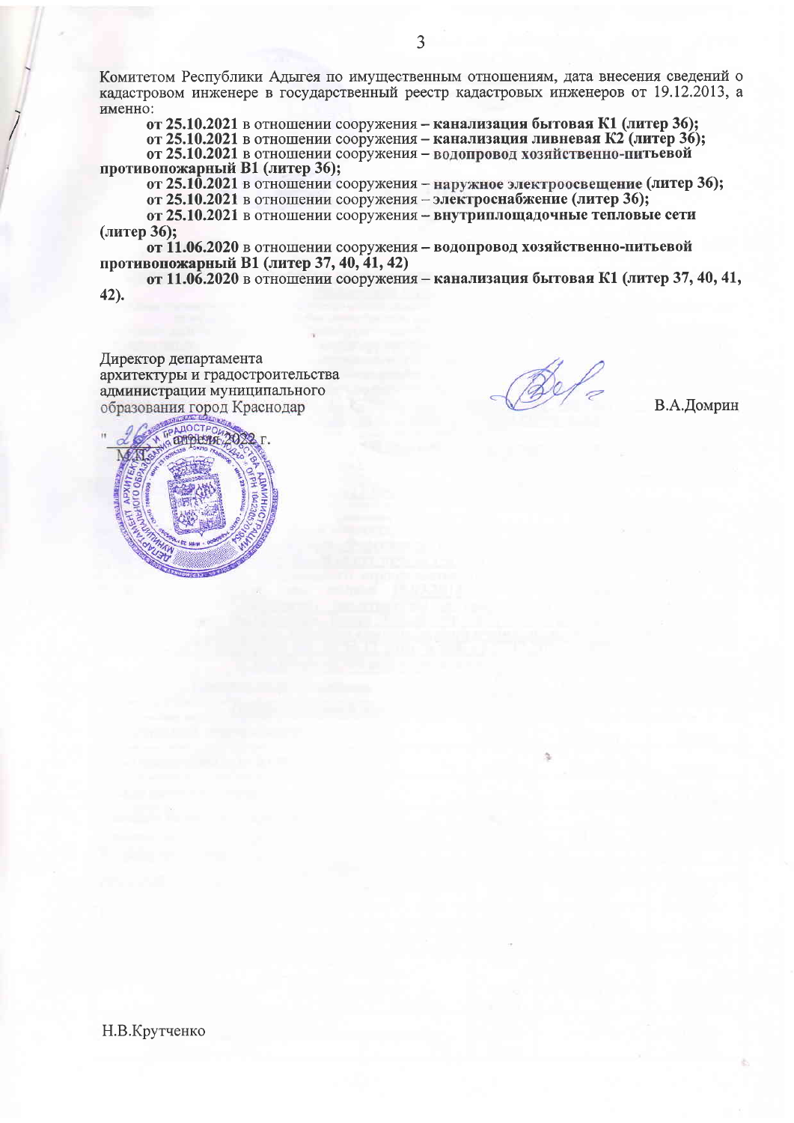Комитетом Республики Адыгея по имущественным отношениям, дата внесения сведений о кадастровом инженере в государственный реестр кадастровых инженеров от 19.12.2013, а именно:

от 25.10.2021 в отношении сооружения - канализация бытовая К1 (литер 36): от 25.10.2021 в отношении сооружения - канализация ливневая К2 (литер 36); от 25.10.2021 в отношении сооружения - водопровод хозяйственно-питьевой противопожарный В1 (литер 36);

от 25.10.2021 в отношении сооружения – наружное электроосвещение (литер 36);

от 25.10.2021 в отношении сооружения - электроснабжение (литер 36);

от 25.10.2021 в отношении сооружения - внутриплощадочные тепловые сети (литер 36):

от 11.06.2020 в отношении сооружения - водопровод хозяйственно-питьевой противопожарный В1 (литер 37, 40, 41, 42)

от 11.06.2020 в отношении сооружения - канализация бытовая К1 (литер 37, 40, 41,  $42.$ 

Директор департамента архитектуры и градостроительства администрации муниципального образования город Краснодар

В.А.Домрин